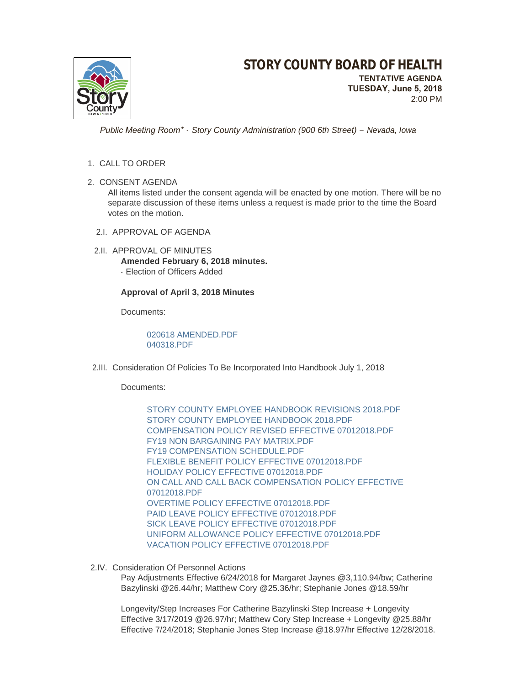

 *Public Meeting Room\* - Story County Administration (900 6th Street) – Nevada, Iowa*

## 1. CALL TO ORDER

2. CONSENT AGENDA

All items listed under the consent agenda will be enacted by one motion. There will be no separate discussion of these items unless a request is made prior to the time the Board votes on the motion.

- 2.I. APPROVAL OF AGENDA
- 2.II. APPROVAL OF MINUTES **Amended February 6, 2018 minutes.** - Election of Officers Added

## **Approval of April 3, 2018 Minutes**

Documents:

[020618 AMENDED.PDF](http://www.storycountyiowa.gov/AgendaCenter/ViewFile/Item/12072?fileID=9068) [040318.PDF](http://www.storycountyiowa.gov/AgendaCenter/ViewFile/Item/12072?fileID=9069)

2.III. Consideration Of Policies To Be Incorporated Into Handbook July 1, 2018

Documents:

[STORY COUNTY EMPLOYEE HANDBOOK REVISIONS 2018.PDF](http://www.storycountyiowa.gov/AgendaCenter/ViewFile/Item/12078?fileID=9071) [STORY COUNTY EMPLOYEE HANDBOOK 2018.PDF](http://www.storycountyiowa.gov/AgendaCenter/ViewFile/Item/12078?fileID=9072) [COMPENSATION POLICY REVISED EFFECTIVE 07012018.PDF](http://www.storycountyiowa.gov/AgendaCenter/ViewFile/Item/12078?fileID=9073) [FY19 NON BARGAINING PAY MATRIX.PDF](http://www.storycountyiowa.gov/AgendaCenter/ViewFile/Item/12078?fileID=9074) [FY19 COMPENSATION SCHEDULE.PDF](http://www.storycountyiowa.gov/AgendaCenter/ViewFile/Item/12078?fileID=9075) [FLEXIBLE BENEFIT POLICY EFFECTIVE 07012018.PDF](http://www.storycountyiowa.gov/AgendaCenter/ViewFile/Item/12078?fileID=9076) [HOLIDAY POLICY EFFECTIVE 07012018.PDF](http://www.storycountyiowa.gov/AgendaCenter/ViewFile/Item/12078?fileID=9077) [ON CALL AND CALL BACK COMPENSATION POLICY EFFECTIVE](http://www.storycountyiowa.gov/AgendaCenter/ViewFile/Item/12078?fileID=9078)  07012018.PDF [OVERTIME POLICY EFFECTIVE 07012018.PDF](http://www.storycountyiowa.gov/AgendaCenter/ViewFile/Item/12078?fileID=9079) [PAID LEAVE POLICY EFFECTIVE 07012018.PDF](http://www.storycountyiowa.gov/AgendaCenter/ViewFile/Item/12078?fileID=9080) [SICK LEAVE POLICY EFFECTIVE 07012018.PDF](http://www.storycountyiowa.gov/AgendaCenter/ViewFile/Item/12078?fileID=9081) [UNIFORM ALLOWANCE POLICY EFFECTIVE 07012018.PDF](http://www.storycountyiowa.gov/AgendaCenter/ViewFile/Item/12078?fileID=9082) [VACATION POLICY EFFECTIVE 07012018.PDF](http://www.storycountyiowa.gov/AgendaCenter/ViewFile/Item/12078?fileID=9083)

2.IV. Consideration Of Personnel Actions

Pay Adjustments Effective 6/24/2018 for Margaret Jaynes @3,110.94/bw; Catherine Bazylinski @26.44/hr; Matthew Cory @25.36/hr; Stephanie Jones @18.59/hr

Longevity/Step Increases For Catherine Bazylinski Step Increase + Longevity Effective 3/17/2019 @26.97/hr; Matthew Cory Step Increase + Longevity @25.88/hr Effective 7/24/2018; Stephanie Jones Step Increase @18.97/hr Effective 12/28/2018.